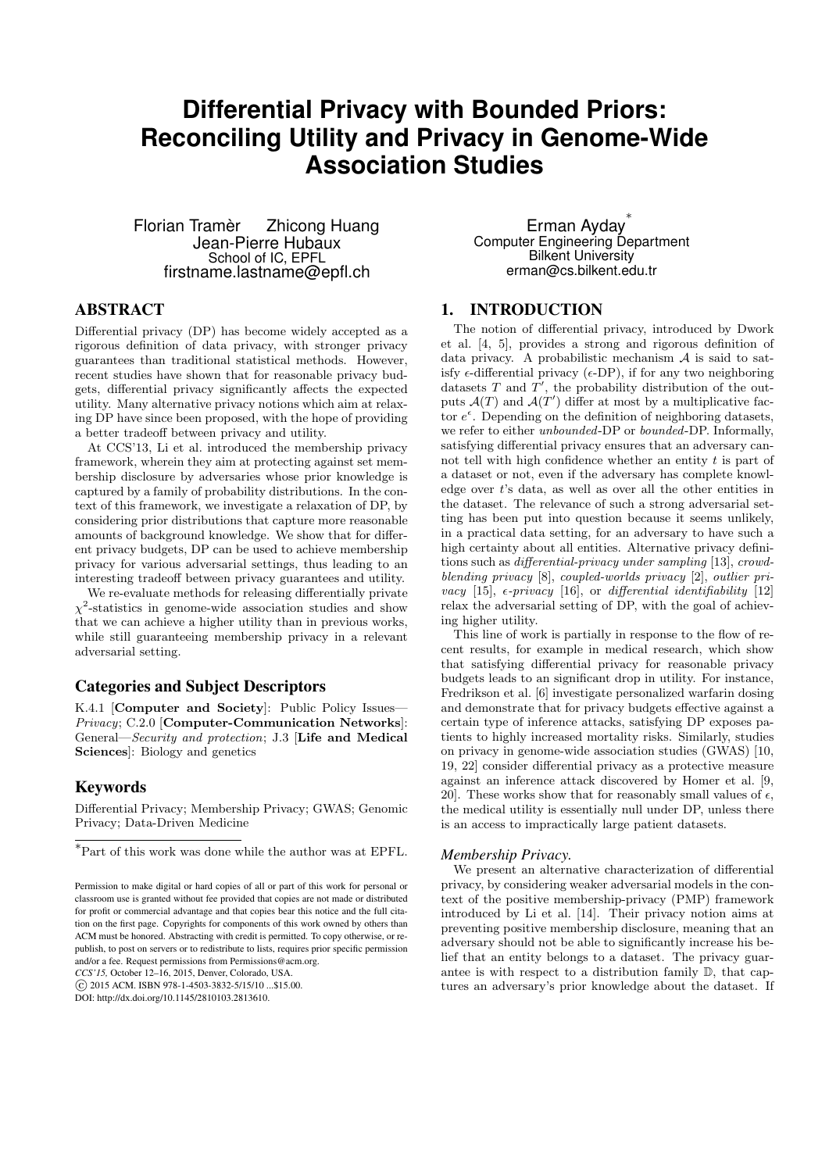# **Differential Privacy with Bounded Priors: Reconciling Utility and Privacy in Genome-Wide Association Studies**

Florian Tramèr Zhicong Huang Jean-Pierre Hubaux School of IC, EPFL firstname.lastname@epfl.ch

# Erman Ayday<sup>\*</sup> Computer Engineering Department Bilkent University erman@cs.bilkent.edu.tr

# ABSTRACT

Differential privacy (DP) has become widely accepted as a rigorous definition of data privacy, with stronger privacy guarantees than traditional statistical methods. However, recent studies have shown that for reasonable privacy budgets, differential privacy significantly affects the expected utility. Many alternative privacy notions which aim at relaxing DP have since been proposed, with the hope of providing a better tradeoff between privacy and utility.

At CCS'13, Li et al. introduced the membership privacy framework, wherein they aim at protecting against set membership disclosure by adversaries whose prior knowledge is captured by a family of probability distributions. In the context of this framework, we investigate a relaxation of DP, by considering prior distributions that capture more reasonable amounts of background knowledge. We show that for different privacy budgets, DP can be used to achieve membership privacy for various adversarial settings, thus leading to an interesting tradeoff between privacy guarantees and utility.

We re-evaluate methods for releasing differentially private  $\chi^2$ -statistics in genome-wide association studies and show that we can achieve a higher utility than in previous works, while still guaranteeing membership privacy in a relevant adversarial setting.

## Categories and Subject Descriptors

K.4.1 [Computer and Society]: Public Policy Issues— Privacy; C.2.0 [Computer-Communication Networks]: General—Security and protection; J.3 [Life and Medical Sciences]: Biology and genetics

## Keywords

Differential Privacy; Membership Privacy; GWAS; Genomic Privacy; Data-Driven Medicine

*CCS'15,* October 12–16, 2015, Denver, Colorado, USA.

DOI: http://dx.doi.org/10.1145/2810103.2813610.

1. INTRODUCTION

The notion of differential privacy, introduced by Dwork et al. [4, 5], provides a strong and rigorous definition of data privacy. A probabilistic mechanism  $A$  is said to satisfy  $\epsilon$ -differential privacy ( $\epsilon$ -DP), if for any two neighboring datasets  $T$  and  $T'$ , the probability distribution of the outputs  $\mathcal{A}(T)$  and  $\mathcal{A}(T')$  differ at most by a multiplicative factor  $e^{\epsilon}$ . Depending on the definition of neighboring datasets, we refer to either unbounded-DP or bounded-DP. Informally, satisfying differential privacy ensures that an adversary cannot tell with high confidence whether an entity  $t$  is part of a dataset or not, even if the adversary has complete knowledge over t's data, as well as over all the other entities in the dataset. The relevance of such a strong adversarial setting has been put into question because it seems unlikely, in a practical data setting, for an adversary to have such a high certainty about all entities. Alternative privacy definitions such as differential-privacy under sampling [13], crowdblending privacy [8], coupled-worlds privacy [2], outlier privacy [15],  $\epsilon$ -privacy [16], or differential identifiability [12] relax the adversarial setting of DP, with the goal of achieving higher utility.

This line of work is partially in response to the flow of recent results, for example in medical research, which show that satisfying differential privacy for reasonable privacy budgets leads to an significant drop in utility. For instance, Fredrikson et al. [6] investigate personalized warfarin dosing and demonstrate that for privacy budgets effective against a certain type of inference attacks, satisfying DP exposes patients to highly increased mortality risks. Similarly, studies on privacy in genome-wide association studies (GWAS) [10, 19, 22] consider differential privacy as a protective measure against an inference attack discovered by Homer et al. [9, 20]. These works show that for reasonably small values of  $\epsilon$ , the medical utility is essentially null under DP, unless there is an access to impractically large patient datasets.

#### *Membership Privacy.*

We present an alternative characterization of differential privacy, by considering weaker adversarial models in the context of the positive membership-privacy (PMP) framework introduced by Li et al. [14]. Their privacy notion aims at preventing positive membership disclosure, meaning that an adversary should not be able to significantly increase his belief that an entity belongs to a dataset. The privacy guarantee is with respect to a distribution family D, that captures an adversary's prior knowledge about the dataset. If

<sup>∗</sup>Part of this work was done while the author was at EPFL.

Permission to make digital or hard copies of all or part of this work for personal or classroom use is granted without fee provided that copies are not made or distributed for profit or commercial advantage and that copies bear this notice and the full citation on the first page. Copyrights for components of this work owned by others than ACM must be honored. Abstracting with credit is permitted. To copy otherwise, or republish, to post on servers or to redistribute to lists, requires prior specific permission and/or a fee. Request permissions from Permissions@acm.org.

 $\odot$  2015 ACM. ISBN 978-1-4503-3832-5/15/10 \$15.00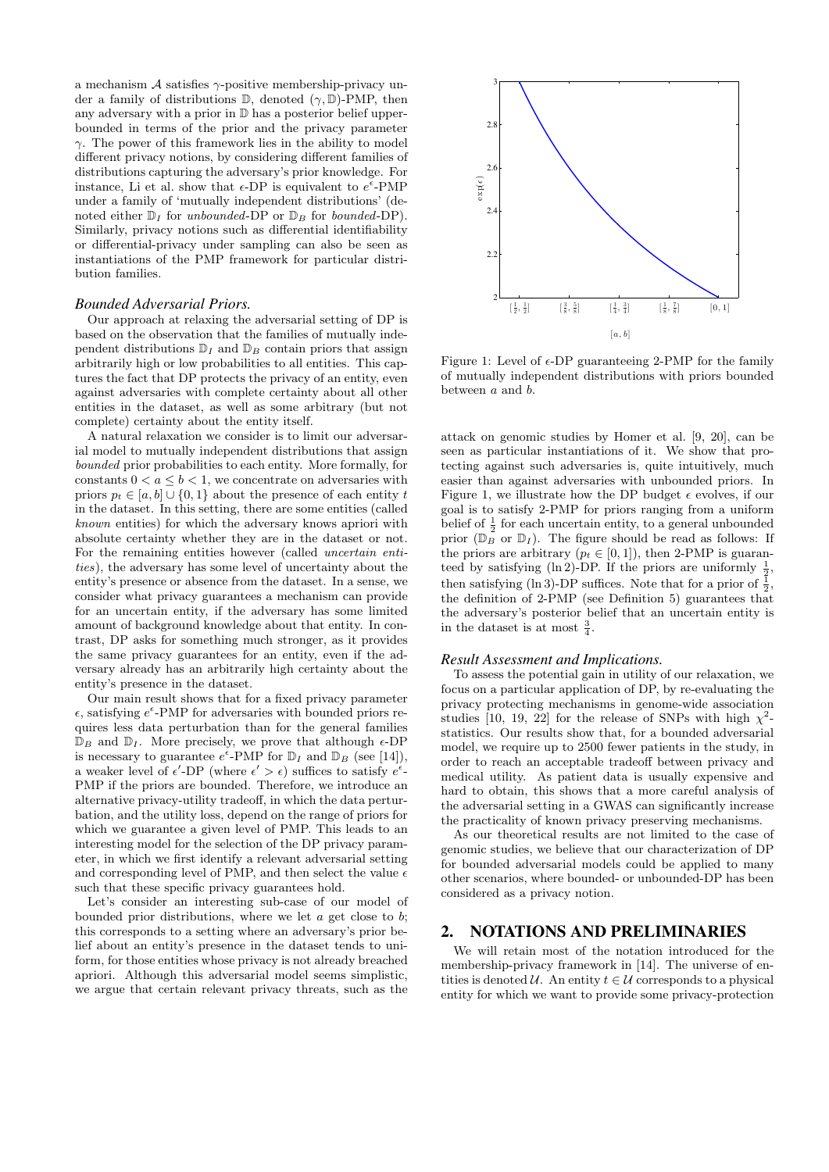a mechanism  $A$  satisfies  $\gamma$ -positive membership-privacy under a family of distributions  $\mathbb{D}$ , denoted  $(\gamma, \mathbb{D})$ -PMP, then any adversary with a prior in D has a posterior belief upperbounded in terms of the prior and the privacy parameter  $\gamma$ . The power of this framework lies in the ability to model different privacy notions, by considering different families of distributions capturing the adversary's prior knowledge. For instance, Li et al. show that  $\epsilon$ -DP is equivalent to  $e^{\epsilon}$ -PMP under a family of 'mutually independent distributions' (denoted either  $\mathbb{D}_I$  for unbounded-DP or  $\mathbb{D}_B$  for bounded-DP). Similarly, privacy notions such as differential identifiability or differential-privacy under sampling can also be seen as instantiations of the PMP framework for particular distribution families.

#### *Bounded Adversarial Priors.*

Our approach at relaxing the adversarial setting of DP is based on the observation that the families of mutually independent distributions  $\mathbb{D}_I$  and  $\mathbb{D}_B$  contain priors that assign arbitrarily high or low probabilities to all entities. This captures the fact that DP protects the privacy of an entity, even against adversaries with complete certainty about all other entities in the dataset, as well as some arbitrary (but not complete) certainty about the entity itself.

A natural relaxation we consider is to limit our adversarial model to mutually independent distributions that assign bounded prior probabilities to each entity. More formally, for constants  $0 < a \leq b < 1$ , we concentrate on adversaries with priors  $p_t \in [a, b] \cup \{0, 1\}$  about the presence of each entity t in the dataset. In this setting, there are some entities (called known entities) for which the adversary knows apriori with absolute certainty whether they are in the dataset or not. For the remaining entities however (called *uncertain enti*ties), the adversary has some level of uncertainty about the entity's presence or absence from the dataset. In a sense, we consider what privacy guarantees a mechanism can provide for an uncertain entity, if the adversary has some limited amount of background knowledge about that entity. In contrast, DP asks for something much stronger, as it provides the same privacy guarantees for an entity, even if the adversary already has an arbitrarily high certainty about the entity's presence in the dataset.

Our main result shows that for a fixed privacy parameter  $\epsilon$ , satisfying  $e^{\epsilon}$ -PMP for adversaries with bounded priors requires less data perturbation than for the general families  $\mathbb{D}_B$  and  $\mathbb{D}_I$ . More precisely, we prove that although  $\epsilon$ -DP is necessary to guarantee  $e^{\epsilon}$ -PMP for  $\mathbb{D}_{I}$  and  $\mathbb{D}_{B}$  (see [14]), a weaker level of  $\epsilon'$ -DP (where  $\epsilon' > \epsilon$ ) suffices to satisfy  $e^{\epsilon}$ -PMP if the priors are bounded. Therefore, we introduce an alternative privacy-utility tradeoff, in which the data perturbation, and the utility loss, depend on the range of priors for which we guarantee a given level of PMP. This leads to an interesting model for the selection of the DP privacy parameter, in which we first identify a relevant adversarial setting and corresponding level of PMP, and then select the value  $\epsilon$ such that these specific privacy guarantees hold.

Let's consider an interesting sub-case of our model of bounded prior distributions, where we let  $a$  get close to  $b$ ; this corresponds to a setting where an adversary's prior belief about an entity's presence in the dataset tends to uniform, for those entities whose privacy is not already breached apriori. Although this adversarial model seems simplistic, we argue that certain relevant privacy threats, such as the



Figure 1: Level of  $\epsilon$ -DP guaranteeing 2-PMP for the family of mutually independent distributions with priors bounded between a and b.

attack on genomic studies by Homer et al. [9, 20], can be seen as particular instantiations of it. We show that protecting against such adversaries is, quite intuitively, much easier than against adversaries with unbounded priors. In Figure 1, we illustrate how the DP budget  $\epsilon$  evolves, if our goal is to satisfy 2-PMP for priors ranging from a uniform belief of  $\frac{1}{2}$  for each uncertain entity, to a general unbounded prior  $(\mathbb{D}_{B} \circ \mathbb{D}_{I})$ . The figure should be read as follows: If the priors are arbitrary  $(p_t \in [0,1])$ , then 2-PMP is guaranteed by satisfying (ln 2)-DP. If the priors are uniformly  $\frac{1}{2}$ , then satisfying (ln 3)-DP suffices. Note that for a prior of  $\frac{1}{2}$ , the definition of 2-PMP (see Definition 5) guarantees that the adversary's posterior belief that an uncertain entity is in the dataset is at most  $\frac{3}{4}$ .

#### *Result Assessment and Implications.*

To assess the potential gain in utility of our relaxation, we focus on a particular application of DP, by re-evaluating the privacy protecting mechanisms in genome-wide association studies [10, 19, 22] for the release of SNPs with high  $\chi^2$ statistics. Our results show that, for a bounded adversarial model, we require up to 2500 fewer patients in the study, in order to reach an acceptable tradeoff between privacy and medical utility. As patient data is usually expensive and hard to obtain, this shows that a more careful analysis of the adversarial setting in a GWAS can significantly increase the practicality of known privacy preserving mechanisms.

As our theoretical results are not limited to the case of genomic studies, we believe that our characterization of DP for bounded adversarial models could be applied to many other scenarios, where bounded- or unbounded-DP has been considered as a privacy notion.

### 2. NOTATIONS AND PRELIMINARIES

We will retain most of the notation introduced for the membership-privacy framework in [14]. The universe of entities is denoted  $U$ . An entity  $t \in U$  corresponds to a physical entity for which we want to provide some privacy-protection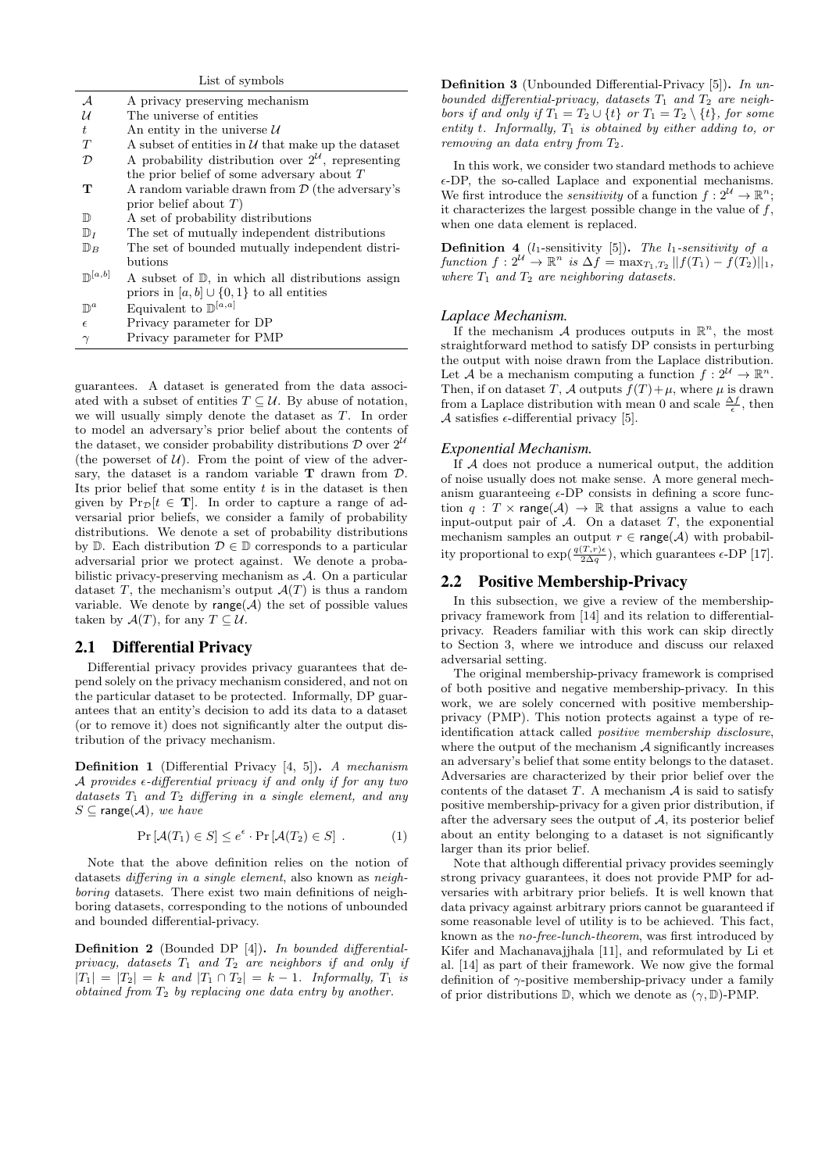| List of symbols                   |                                                                  |  |  |
|-----------------------------------|------------------------------------------------------------------|--|--|
| $\mathcal A$                      | A privacy preserving mechanism                                   |  |  |
| $\mathcal{U}$                     | The universe of entities                                         |  |  |
| $t_{\cdot}$                       | An entity in the universe $U$                                    |  |  |
| T                                 | A subset of entities in $\mathcal U$ that make up the dataset    |  |  |
| D                                 | A probability distribution over $2^{\mathcal{U}}$ , representing |  |  |
|                                   | the prior belief of some adversary about $T$                     |  |  |
| т                                 | A random variable drawn from $\mathcal{D}$ (the adversary's      |  |  |
|                                   | prior belief about $T$ )                                         |  |  |
| $\mathbb{D}$                      | A set of probability distributions                               |  |  |
| $\mathbb{D}_I$                    | The set of mutually independent distributions                    |  |  |
| $\mathbb{D}_B$                    | The set of bounded mutually independent distri-                  |  |  |
|                                   | butions                                                          |  |  |
| $\mathbb{D}^{\lfloor a,b\rfloor}$ | A subset of $D$ , in which all distributions assign              |  |  |
|                                   | priors in $[a, b] \cup \{0, 1\}$ to all entities                 |  |  |
| $\mathbb{D}^a$                    | Equivalent to $\mathbb{D}^{[a,a]}$                               |  |  |
| $\epsilon$                        | Privacy parameter for DP                                         |  |  |
| $\gamma$                          | Privacy parameter for PMP                                        |  |  |

guarantees. A dataset is generated from the data associated with a subset of entities  $T \subseteq \mathcal{U}$ . By abuse of notation, we will usually simply denote the dataset as T. In order to model an adversary's prior belief about the contents of the dataset, we consider probability distributions  $\mathcal D$  over  $2^{\mathcal U}$ (the powerset of  $U$ ). From the point of view of the adversary, the dataset is a random variable  $T$  drawn from  $D$ . Its prior belief that some entity  $t$  is in the dataset is then given by  $Pr_{\mathcal{D}}[t \in \mathbf{T}]$ . In order to capture a range of adversarial prior beliefs, we consider a family of probability distributions. We denote a set of probability distributions by D. Each distribution  $\mathcal{D} \in \mathbb{D}$  corresponds to a particular adversarial prior we protect against. We denote a probabilistic privacy-preserving mechanism as A. On a particular dataset T, the mechanism's output  $\mathcal{A}(T)$  is thus a random variable. We denote by range( $A$ ) the set of possible values taken by  $\mathcal{A}(T)$ , for any  $T \subseteq \mathcal{U}$ .

### 2.1 Differential Privacy

Differential privacy provides privacy guarantees that depend solely on the privacy mechanism considered, and not on the particular dataset to be protected. Informally, DP guarantees that an entity's decision to add its data to a dataset (or to remove it) does not significantly alter the output distribution of the privacy mechanism.

Definition 1 (Differential Privacy [4, 5]). A mechanism A provides  $\epsilon$ -differential privacy if and only if for any two datasets  $T_1$  and  $T_2$  differing in a single element, and any  $S \subseteq \text{range}(\mathcal{A}),$  we have

$$
\Pr\left[\mathcal{A}(T_1)\in S\right] \le e^{\epsilon} \cdot \Pr\left[\mathcal{A}(T_2)\in S\right].\tag{1}
$$

Note that the above definition relies on the notion of datasets differing in a single element, also known as neighboring datasets. There exist two main definitions of neighboring datasets, corresponding to the notions of unbounded and bounded differential-privacy.

Definition 2 (Bounded DP [4]). In bounded differentialprivacy, datasets  $T_1$  and  $T_2$  are neighbors if and only if  $|T_1| = |T_2| = k$  and  $|T_1 \cap T_2| = k - 1$ . Informally,  $T_1$  is obtained from  $T_2$  by replacing one data entry by another.

Definition 3 (Unbounded Differential-Privacy [5]). In unbounded differential-privacy, datasets  $T_1$  and  $T_2$  are neighbors if and only if  $T_1 = T_2 \cup \{t\}$  or  $T_1 = T_2 \setminus \{t\}$ , for some entity t. Informally,  $T_1$  is obtained by either adding to, or removing an data entry from  $T_2$ .

In this work, we consider two standard methods to achieve  $\epsilon$ -DP, the so-called Laplace and exponential mechanisms. We first introduce the *sensitivity* of a function  $f: 2^{\mathcal{U}} \to \mathbb{R}^n$ ; it characterizes the largest possible change in the value of  $f$ , when one data element is replaced.

**Definition 4** ( $l_1$ -sensitivity [5]). The  $l_1$ -sensitivity of a function  $f: 2^{\mathcal{U}} \to \mathbb{R}^n$  is  $\Delta f = \max_{T_1, T_2} ||f(T_1) - f(T_2)||_1$ , where  $T_1$  and  $T_2$  are neighboring datasets.

#### *Laplace Mechanism.*

If the mechanism A produces outputs in  $\mathbb{R}^n$ , the most straightforward method to satisfy DP consists in perturbing the output with noise drawn from the Laplace distribution. Let A be a mechanism computing a function  $f: 2^{\mathcal{U}} \to \mathbb{R}^n$ . Then, if on dataset T, A outputs  $f(T)+\mu$ , where  $\mu$  is drawn from a Laplace distribution with mean 0 and scale  $\frac{\Delta f}{\epsilon}$ , then A satisfies  $\epsilon$ -differential privacy [5].

## *Exponential Mechanism.*

If A does not produce a numerical output, the addition of noise usually does not make sense. A more general mechanism guaranteeing  $\epsilon$ -DP consists in defining a score function  $q : T \times \text{range}(\mathcal{A}) \to \mathbb{R}$  that assigns a value to each input-output pair of  $A$ . On a dataset  $T$ , the exponential mechanism samples an output  $r \in \text{range}(\mathcal{A})$  with probability proportional to  $\exp(\frac{q(T,r)\epsilon}{2\Delta q})$ , which guarantees  $\epsilon$ -DP [17].

#### 2.2 Positive Membership-Privacy

In this subsection, we give a review of the membershipprivacy framework from [14] and its relation to differentialprivacy. Readers familiar with this work can skip directly to Section 3, where we introduce and discuss our relaxed adversarial setting.

The original membership-privacy framework is comprised of both positive and negative membership-privacy. In this work, we are solely concerned with positive membershipprivacy (PMP). This notion protects against a type of reidentification attack called positive membership disclosure, where the output of the mechanism  $A$  significantly increases an adversary's belief that some entity belongs to the dataset. Adversaries are characterized by their prior belief over the contents of the dataset  $T$ . A mechanism  $A$  is said to satisfy positive membership-privacy for a given prior distribution, if after the adversary sees the output of  $A$ , its posterior belief about an entity belonging to a dataset is not significantly larger than its prior belief.

Note that although differential privacy provides seemingly strong privacy guarantees, it does not provide PMP for adversaries with arbitrary prior beliefs. It is well known that data privacy against arbitrary priors cannot be guaranteed if some reasonable level of utility is to be achieved. This fact, known as the no-free-lunch-theorem, was first introduced by Kifer and Machanavajjhala [11], and reformulated by Li et al. [14] as part of their framework. We now give the formal definition of  $\gamma$ -positive membership-privacy under a family of prior distributions  $\mathbb{D}$ , which we denote as  $(\gamma, \mathbb{D})$ -PMP.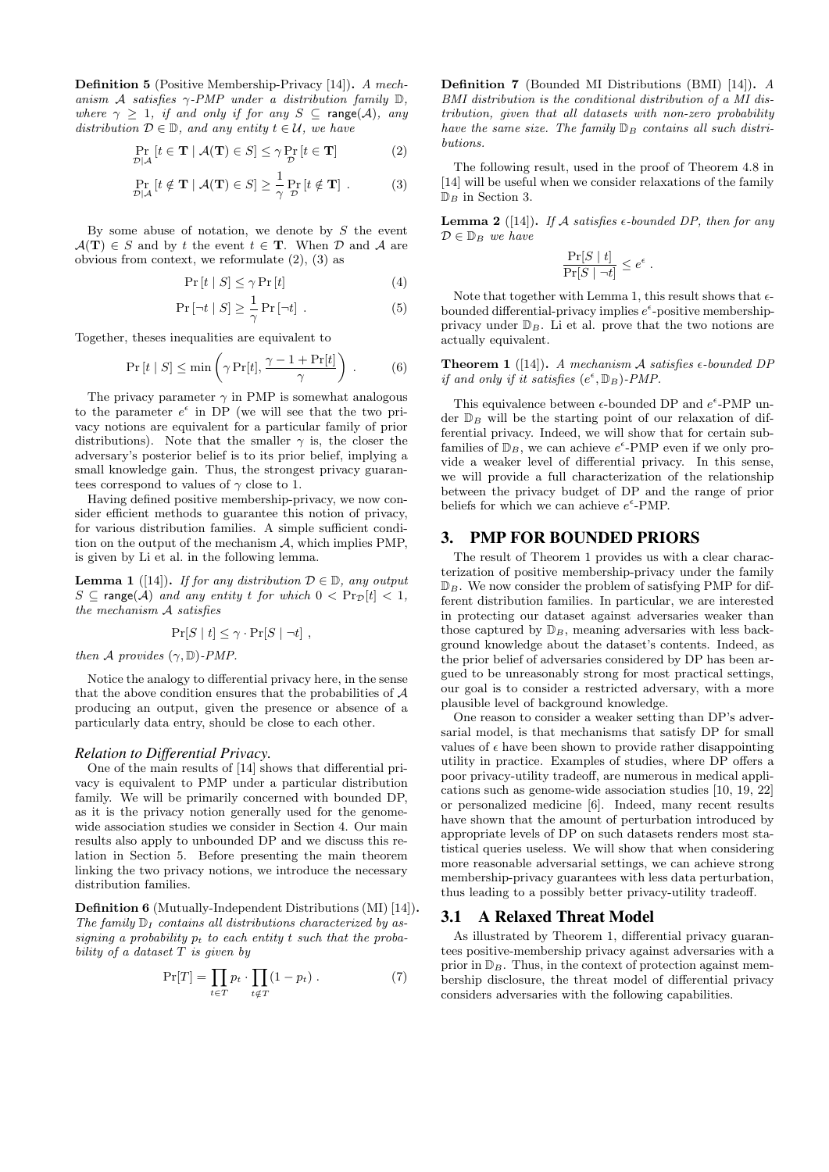Definition 5 (Positive Membership-Privacy [14]). A mechanism A satisfies  $\gamma$ -PMP under a distribution family D, where  $\gamma \geq 1$ , if and only if for any  $S \subseteq \text{range}(\mathcal{A})$ , any distribution  $D \in \mathbb{D}$ , and any entity  $t \in \mathcal{U}$ , we have

$$
\Pr_{\mathcal{D}|\mathcal{A}}\left[t \in \mathbf{T} \mid \mathcal{A}(\mathbf{T}) \in S\right] \leq \gamma \Pr_{\mathcal{D}}\left[t \in \mathbf{T}\right]
$$
\n(2)

$$
\Pr_{\mathcal{D}|\mathcal{A}}\left[t \notin \mathbf{T} \mid \mathcal{A}(\mathbf{T}) \in S\right] \ge \frac{1}{\gamma} \Pr_{\mathcal{D}}\left[t \notin \mathbf{T}\right].\tag{3}
$$

By some abuse of notation, we denote by  $S$  the event  $\mathcal{A}(\mathbf{T}) \in S$  and by t the event  $t \in \mathbf{T}$ . When  $\mathcal{D}$  and  $\mathcal{A}$  are obvious from context, we reformulate (2), (3) as

$$
\Pr\left[t \mid S\right] \le \gamma \Pr\left[t\right] \tag{4}
$$

$$
\Pr\left[\neg t \mid S\right] \ge \frac{1}{\gamma} \Pr\left[\neg t\right] \,. \tag{5}
$$

Together, theses inequalities are equivalent to

$$
\Pr[t \mid S] \le \min\left(\gamma \Pr[t], \frac{\gamma - 1 + \Pr[t]}{\gamma}\right) \,. \tag{6}
$$

The privacy parameter  $\gamma$  in PMP is somewhat analogous to the parameter  $e^{\epsilon}$  in DP (we will see that the two privacy notions are equivalent for a particular family of prior distributions). Note that the smaller  $\gamma$  is, the closer the adversary's posterior belief is to its prior belief, implying a small knowledge gain. Thus, the strongest privacy guarantees correspond to values of  $\gamma$  close to 1.

Having defined positive membership-privacy, we now consider efficient methods to guarantee this notion of privacy, for various distribution families. A simple sufficient condition on the output of the mechanism A, which implies PMP, is given by Li et al. in the following lemma.

**Lemma 1** ([14]). If for any distribution  $D \in \mathbb{D}$ , any output  $S \subseteq \text{range}(\mathcal{A})$  and any entity t for which  $0 < Pr_{\mathcal{D}}[t] < 1$ , the mechanism A satisfies

$$
\Pr[S \mid t] \leq \gamma \cdot \Pr[S \mid \neg t],
$$

then A provides  $(\gamma, \mathbb{D})$ -PMP.

Notice the analogy to differential privacy here, in the sense that the above condition ensures that the probabilities of  $A$ producing an output, given the presence or absence of a particularly data entry, should be close to each other.

#### *Relation to Differential Privacy.*

One of the main results of [14] shows that differential privacy is equivalent to PMP under a particular distribution family. We will be primarily concerned with bounded DP, as it is the privacy notion generally used for the genomewide association studies we consider in Section 4. Our main results also apply to unbounded DP and we discuss this relation in Section 5. Before presenting the main theorem linking the two privacy notions, we introduce the necessary distribution families.

Definition 6 (Mutually-Independent Distributions (MI) [14]). The family  $\mathbb{D}_I$  contains all distributions characterized by assigning a probability  $p_t$  to each entity t such that the probability of a dataset  $T$  is given by

$$
\Pr[T] = \prod_{t \in T} p_t \cdot \prod_{t \notin T} (1 - p_t) \ . \tag{7}
$$

Definition 7 (Bounded MI Distributions (BMI) [14]). A BMI distribution is the conditional distribution of a MI distribution, given that all datasets with non-zero probability have the same size. The family  $\mathbb{D}_B$  contains all such distributions.

The following result, used in the proof of Theorem 4.8 in [14] will be useful when we consider relaxations of the family  $\mathbb{D}_B$  in Section 3.

**Lemma 2** ([14]). If A satisfies  $\epsilon$ -bounded DP, then for any  $\mathcal{D} \in \mathbb{D}_B$  we have

$$
\frac{\Pr[S \mid t]}{\Pr[S \mid \neg t]} \leq e^{\epsilon} \; .
$$

Note that together with Lemma 1, this result shows that  $\epsilon$ bounded differential-privacy implies  $e^{\epsilon}$ -positive membershipprivacy under  $\mathbb{D}_B$ . Li et al. prove that the two notions are actually equivalent.

**Theorem 1** ([14]). A mechanism A satisfies  $\epsilon$ -bounded DP if and only if it satisfies  $(e^{\epsilon}, \mathbb{D}_B)$ -PMP.

This equivalence between  $\epsilon$ -bounded DP and  $e^{\epsilon}$ -PMP under  $\mathbb{D}_B$  will be the starting point of our relaxation of differential privacy. Indeed, we will show that for certain subfamilies of  $\mathbb{D}_B$ , we can achieve  $e^{\epsilon}$ -PMP even if we only provide a weaker level of differential privacy. In this sense, we will provide a full characterization of the relationship between the privacy budget of DP and the range of prior beliefs for which we can achieve  $e^{\epsilon}$ -PMP.

#### 3. PMP FOR BOUNDED PRIORS

The result of Theorem 1 provides us with a clear characterization of positive membership-privacy under the family  $\mathbb{D}_B$ . We now consider the problem of satisfying PMP for different distribution families. In particular, we are interested in protecting our dataset against adversaries weaker than those captured by  $\mathbb{D}_B$ , meaning adversaries with less background knowledge about the dataset's contents. Indeed, as the prior belief of adversaries considered by DP has been argued to be unreasonably strong for most practical settings, our goal is to consider a restricted adversary, with a more plausible level of background knowledge.

One reason to consider a weaker setting than DP's adversarial model, is that mechanisms that satisfy DP for small values of  $\epsilon$  have been shown to provide rather disappointing utility in practice. Examples of studies, where DP offers a poor privacy-utility tradeoff, are numerous in medical applications such as genome-wide association studies [10, 19, 22] or personalized medicine [6]. Indeed, many recent results have shown that the amount of perturbation introduced by appropriate levels of DP on such datasets renders most statistical queries useless. We will show that when considering more reasonable adversarial settings, we can achieve strong membership-privacy guarantees with less data perturbation, thus leading to a possibly better privacy-utility tradeoff.

#### 3.1 A Relaxed Threat Model

As illustrated by Theorem 1, differential privacy guarantees positive-membership privacy against adversaries with a prior in  $\mathbb{D}_B$ . Thus, in the context of protection against membership disclosure, the threat model of differential privacy considers adversaries with the following capabilities.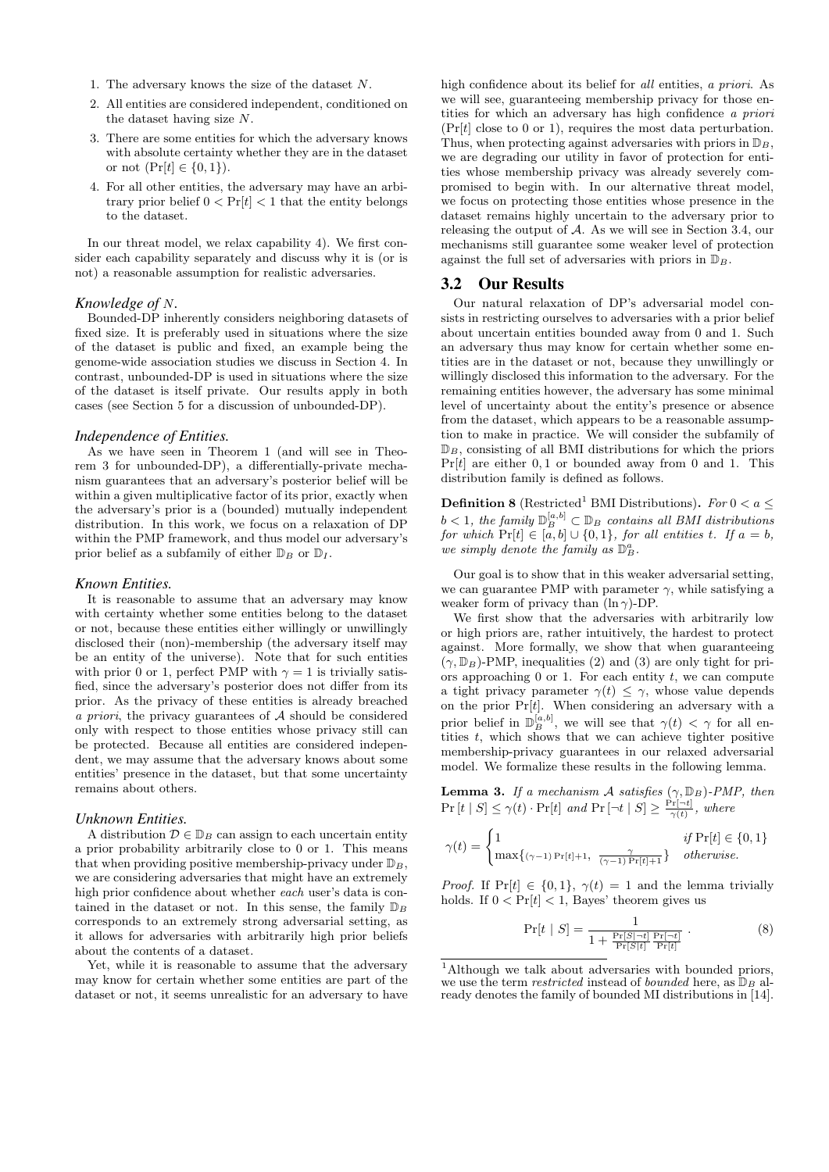- 1. The adversary knows the size of the dataset N.
- 2. All entities are considered independent, conditioned on the dataset having size N.
- 3. There are some entities for which the adversary knows with absolute certainty whether they are in the dataset or not  $(Pr[t] \in \{0, 1\})$ .
- 4. For all other entities, the adversary may have an arbitrary prior belief  $0 < \Pr[t] < 1$  that the entity belongs to the dataset.

In our threat model, we relax capability 4). We first consider each capability separately and discuss why it is (or is not) a reasonable assumption for realistic adversaries.

#### *Knowledge of* N*.*

Bounded-DP inherently considers neighboring datasets of fixed size. It is preferably used in situations where the size of the dataset is public and fixed, an example being the genome-wide association studies we discuss in Section 4. In contrast, unbounded-DP is used in situations where the size of the dataset is itself private. Our results apply in both cases (see Section 5 for a discussion of unbounded-DP).

#### *Independence of Entities.*

As we have seen in Theorem 1 (and will see in Theorem 3 for unbounded-DP), a differentially-private mechanism guarantees that an adversary's posterior belief will be within a given multiplicative factor of its prior, exactly when the adversary's prior is a (bounded) mutually independent distribution. In this work, we focus on a relaxation of DP within the PMP framework, and thus model our adversary's prior belief as a subfamily of either  $\mathbb{D}_B$  or  $\mathbb{D}_I$ .

#### *Known Entities.*

It is reasonable to assume that an adversary may know with certainty whether some entities belong to the dataset or not, because these entities either willingly or unwillingly disclosed their (non)-membership (the adversary itself may be an entity of the universe). Note that for such entities with prior 0 or 1, perfect PMP with  $\gamma = 1$  is trivially satisfied, since the adversary's posterior does not differ from its prior. As the privacy of these entities is already breached a priori, the privacy guarantees of  $A$  should be considered only with respect to those entities whose privacy still can be protected. Because all entities are considered independent, we may assume that the adversary knows about some entities' presence in the dataset, but that some uncertainty remains about others.

#### *Unknown Entities.*

A distribution  $\mathcal{D} \in \mathbb{D}_B$  can assign to each uncertain entity a prior probability arbitrarily close to 0 or 1. This means that when providing positive membership-privacy under  $\mathbb{D}_B$ , we are considering adversaries that might have an extremely high prior confidence about whether *each* user's data is contained in the dataset or not. In this sense, the family  $\mathbb{D}_B$ corresponds to an extremely strong adversarial setting, as it allows for adversaries with arbitrarily high prior beliefs about the contents of a dataset.

Yet, while it is reasonable to assume that the adversary may know for certain whether some entities are part of the dataset or not, it seems unrealistic for an adversary to have high confidence about its belief for all entities, a priori. As we will see, guaranteeing membership privacy for those entities for which an adversary has high confidence a priori  $(\Pr[t]$  close to 0 or 1), requires the most data perturbation. Thus, when protecting against adversaries with priors in  $\mathbb{D}_B$ , we are degrading our utility in favor of protection for entities whose membership privacy was already severely compromised to begin with. In our alternative threat model, we focus on protecting those entities whose presence in the dataset remains highly uncertain to the adversary prior to releasing the output of A. As we will see in Section 3.4, our mechanisms still guarantee some weaker level of protection against the full set of adversaries with priors in  $\mathbb{D}_B$ .

## 3.2 Our Results

Our natural relaxation of DP's adversarial model consists in restricting ourselves to adversaries with a prior belief about uncertain entities bounded away from 0 and 1. Such an adversary thus may know for certain whether some entities are in the dataset or not, because they unwillingly or willingly disclosed this information to the adversary. For the remaining entities however, the adversary has some minimal level of uncertainty about the entity's presence or absence from the dataset, which appears to be a reasonable assumption to make in practice. We will consider the subfamily of  $\mathbb{D}_B$ , consisting of all BMI distributions for which the priors  $Pr[t]$  are either 0, 1 or bounded away from 0 and 1. This distribution family is defined as follows.

**Definition 8** (Restricted<sup>1</sup> BMI Distributions). For  $0 < a \leq$  $b < 1$ , the family  $\mathbb{D}_{B}^{[a,b]} \subset \mathbb{D}_{B}$  contains all BMI distributions for which  $Pr[t] \in [a, b] \cup \{0, 1\}$ , for all entities t. If  $a = b$ , we simply denote the family as  $\mathbb{D}^a_B$ .

Our goal is to show that in this weaker adversarial setting, we can guarantee PMP with parameter  $\gamma$ , while satisfying a weaker form of privacy than  $(\ln \gamma)$ -DP.

We first show that the adversaries with arbitrarily low or high priors are, rather intuitively, the hardest to protect against. More formally, we show that when guaranteeing  $(\gamma, \mathbb{D}_B)$ -PMP, inequalities (2) and (3) are only tight for priors approaching  $0$  or  $1$ . For each entity  $t$ , we can compute a tight privacy parameter  $\gamma(t) \leq \gamma$ , whose value depends on the prior  $Pr[t]$ . When considering an adversary with a prior belief in  $\mathbb{D}_{B}^{[a,b]}$ , we will see that  $\gamma(t) < \gamma$  for all entities  $t$ , which shows that we can achieve tighter positive membership-privacy guarantees in our relaxed adversarial model. We formalize these results in the following lemma.

**Lemma 3.** If a mechanism A satisfies  $(\gamma, \mathbb{D}_B)$ -PMP, then  $\Pr[t | S] \leq \gamma(t) \cdot \Pr[t]$  and  $\Pr[\neg t | S] \geq \frac{\Pr[\neg t]}{\gamma(t)}$ , where

$$
\gamma(t) = \begin{cases} 1 & \text{if } \Pr[t] \in \{0, 1\} \\ \max\{ (\gamma - 1) \Pr[t] + 1, \frac{\gamma}{(\gamma - 1) \Pr[t] + 1} \} & otherwise. \end{cases}
$$

*Proof.* If  $Pr[t] \in \{0, 1\}, \gamma(t) = 1$  and the lemma trivially holds. If  $0 < \Pr[t] < 1$ , Bayes' theorem gives us

$$
\Pr[t \mid S] = \frac{1}{1 + \frac{\Pr[S \mid \neg t]}{\Pr[S \mid t]} \frac{\Pr[\neg t]}{\Pr[t]}}.
$$
\n(8)

<sup>&</sup>lt;sup>1</sup>Although we talk about adversaries with bounded priors, we use the term *restricted* instead of *bounded* here, as  $\mathbb{D}_B$  already denotes the family of bounded MI distributions in [14].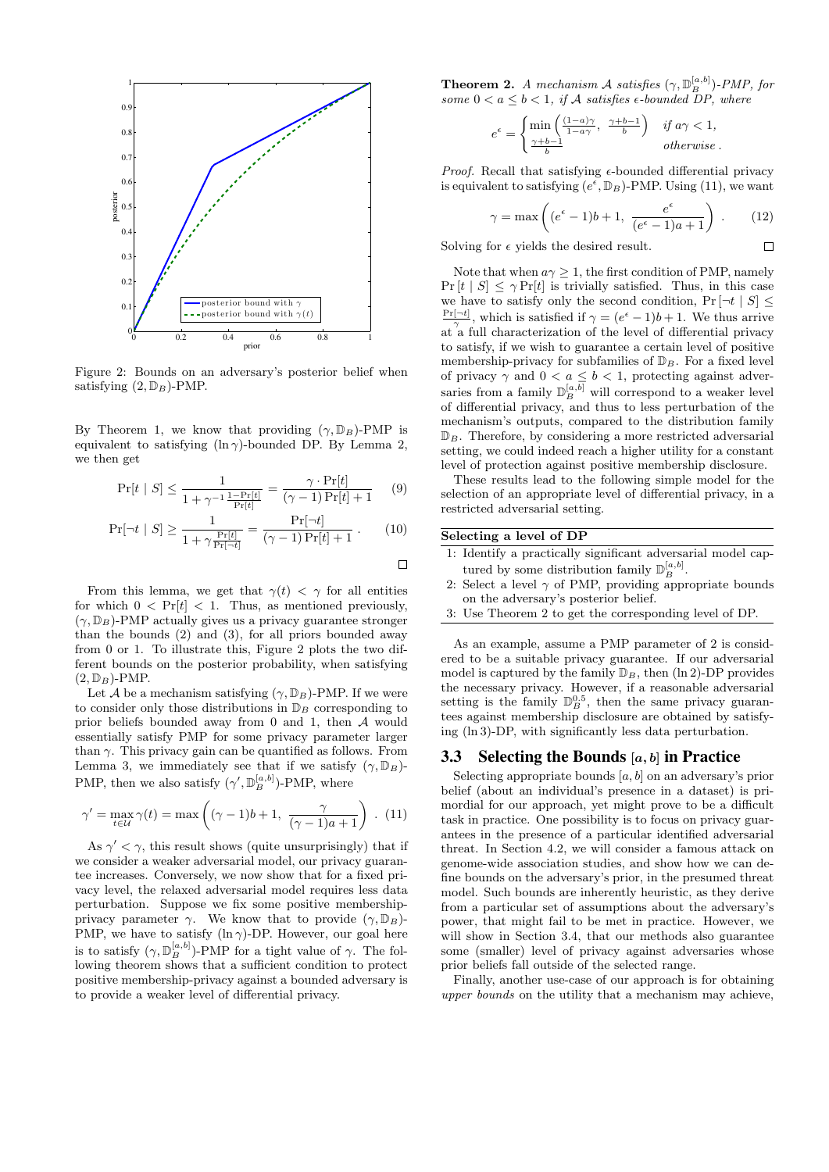

Figure 2: Bounds on an adversary's posterior belief when satisfying  $(2, \mathbb{D}_B)$ -PMP.

By Theorem 1, we know that providing  $(\gamma, \mathbb{D}_B)$ -PMP is equivalent to satisfying  $(\ln \gamma)$ -bounded DP. By Lemma 2, we then get

$$
\Pr[t \mid S] \le \frac{1}{1 + \gamma^{-1} \frac{1 - \Pr[t]}{\Pr[t]}} = \frac{\gamma \cdot \Pr[t]}{(\gamma - 1) \Pr[t] + 1} \tag{9}
$$

$$
\Pr[\neg t \mid S] \ge \frac{1}{1 + \gamma \frac{\Pr[t]}{\Pr[\neg t]}} = \frac{\Pr[\neg t]}{(\gamma - 1) \Pr[t] + 1} \,. \tag{10}
$$

 $\Box$ 

From this lemma, we get that  $\gamma(t) < \gamma$  for all entities for which  $0 < Pr[t] < 1$ . Thus, as mentioned previously,  $(\gamma, \mathbb{D}_B)$ -PMP actually gives us a privacy guarantee stronger than the bounds (2) and (3), for all priors bounded away from 0 or 1. To illustrate this, Figure 2 plots the two different bounds on the posterior probability, when satisfying  $(2, \mathbb{D}_B)$ -PMP.

Let A be a mechanism satisfying  $(\gamma, \mathbb{D}_B)$ -PMP. If we were to consider only those distributions in  $\mathbb{D}_B$  corresponding to prior beliefs bounded away from 0 and 1, then A would essentially satisfy PMP for some privacy parameter larger than  $\gamma$ . This privacy gain can be quantified as follows. From Lemma 3, we immediately see that if we satisfy  $(\gamma, \mathbb{D}_B)$ -PMP, then we also satisfy  $(\gamma', \mathbb{D}_{B}^{[a,b]})$ -PMP, where

$$
\gamma' = \max_{t \in \mathcal{U}} \gamma(t) = \max\left((\gamma - 1)b + 1, \ \frac{\gamma}{(\gamma - 1)a + 1}\right). (11)
$$

As  $\gamma' < \gamma$ , this result shows (quite unsurprisingly) that if we consider a weaker adversarial model, our privacy guarantee increases. Conversely, we now show that for a fixed privacy level, the relaxed adversarial model requires less data perturbation. Suppose we fix some positive membershipprivacy parameter  $\gamma$ . We know that to provide  $(\gamma, \mathbb{D}_B)$ -PMP, we have to satisfy (ln $\gamma$ )-DP. However, our goal here is to satisfy  $(\gamma, \mathbb{D}_{B}^{[a,b]})$ -PMP for a tight value of  $\gamma$ . The following theorem shows that a sufficient condition to protect positive membership-privacy against a bounded adversary is to provide a weaker level of differential privacy.

**Theorem 2.** A mechanism A satisfies  $(\gamma, \mathbb{D}_{B}^{[a,b]})$ -PMP, for some  $0 < a \leq b < 1$ , if A satisfies  $\epsilon$ -bounded DP, where

$$
e^{\epsilon} = \begin{cases} \min\left(\frac{(1-a)\gamma}{1-a\gamma}, \ \frac{\gamma+b-1}{b}\right) & \text{if } a\gamma < 1, \\ \frac{\gamma+b-1}{b} & \text{otherwise.} \end{cases}
$$

*Proof.* Recall that satisfying  $\epsilon$ -bounded differential privacy is equivalent to satisfying  $(e^{\epsilon}, \mathbb{D}_B)$ -PMP. Using (11), we want

$$
\gamma = \max\left( (e^{\epsilon} - 1)b + 1, \ \frac{e^{\epsilon}}{(e^{\epsilon} - 1)a + 1} \right). \tag{12}
$$

 $\Box$ 

Solving for  $\epsilon$  yields the desired result.

Note that when  $a\gamma \geq 1$ , the first condition of PMP, namely  $Pr[t | S] \le \gamma Pr[t]$  is trivially satisfied. Thus, in this case we have to satisfy only the second condition,  $Pr |\neg t | S|$  $\frac{\Pr[\neg t]}{\gamma}$ , which is satisfied if  $\gamma = (e^{\epsilon} - 1)b + 1$ . We thus arrive at a full characterization of the level of differential privacy to satisfy, if we wish to guarantee a certain level of positive membership-privacy for subfamilies of  $\mathbb{D}_B$ . For a fixed level of privacy  $\gamma$  and  $0 < a \leq b < 1$ , protecting against adversaries from a family  $\mathbb{D}_B^{[a,b]}$  will correspond to a weaker level of differential privacy, and thus to less perturbation of the mechanism's outputs, compared to the distribution family  $\mathbb{D}_B$ . Therefore, by considering a more restricted adversarial setting, we could indeed reach a higher utility for a constant level of protection against positive membership disclosure.

These results lead to the following simple model for the selection of an appropriate level of differential privacy, in a restricted adversarial setting.

## Selecting a level of DP

- 1: Identify a practically significant adversarial model captured by some distribution family  $\mathbb{D}_B^{[a,b]}$ .
- 2: Select a level  $\gamma$  of PMP, providing appropriate bounds on the adversary's posterior belief.
- 3: Use Theorem 2 to get the corresponding level of DP.

As an example, assume a PMP parameter of 2 is considered to be a suitable privacy guarantee. If our adversarial model is captured by the family  $\mathbb{D}_B$ , then (ln 2)-DP provides the necessary privacy. However, if a reasonable adversarial setting is the family  $\mathbb{D}_{B}^{0.5}$ , then the same privacy guarantees against membership disclosure are obtained by satisfying (ln 3)-DP, with significantly less data perturbation.

## 3.3 Selecting the Bounds  $[a, b]$  in Practice

Selecting appropriate bounds  $[a, b]$  on an adversary's prior belief (about an individual's presence in a dataset) is primordial for our approach, yet might prove to be a difficult task in practice. One possibility is to focus on privacy guarantees in the presence of a particular identified adversarial threat. In Section 4.2, we will consider a famous attack on genome-wide association studies, and show how we can define bounds on the adversary's prior, in the presumed threat model. Such bounds are inherently heuristic, as they derive from a particular set of assumptions about the adversary's power, that might fail to be met in practice. However, we will show in Section 3.4, that our methods also guarantee some (smaller) level of privacy against adversaries whose prior beliefs fall outside of the selected range.

Finally, another use-case of our approach is for obtaining upper bounds on the utility that a mechanism may achieve,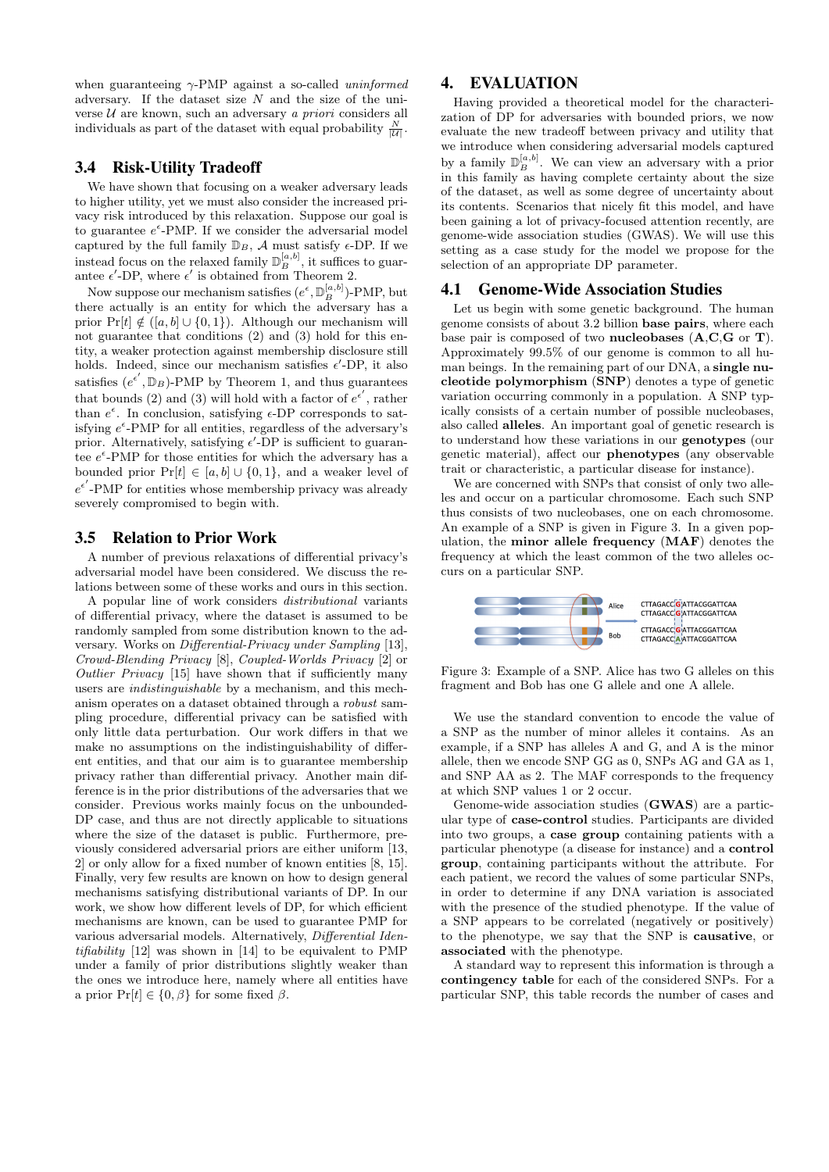when guaranteeing  $\gamma$ -PMP against a so-called *uninformed* adversary. If the dataset size  $N$  and the size of the universe  $U$  are known, such an adversary a priori considers all individuals as part of the dataset with equal probability  $\frac{N}{|\mathcal{U}|}$ .

## 3.4 Risk-Utility Tradeoff

We have shown that focusing on a weaker adversary leads to higher utility, yet we must also consider the increased privacy risk introduced by this relaxation. Suppose our goal is to guarantee  $e^{\epsilon}$ -PMP. If we consider the adversarial model captured by the full family  $\mathbb{D}_B$ , A must satisfy  $\epsilon$ -DP. If we instead focus on the relaxed family  $\mathbb{D}_{B}^{[a,b]}$ , it suffices to guarantee  $\epsilon'$ -DP, where  $\epsilon'$  is obtained from Theorem 2.

Now suppose our mechanism satisfies  $(e^{\epsilon}, \mathbb{D}_{B}^{[a,b]})$ -PMP, but there actually is an entity for which the adversary has a prior Pr[t]  $\notin ([a, b] \cup \{0, 1\})$ . Although our mechanism will not guarantee that conditions (2) and (3) hold for this entity, a weaker protection against membership disclosure still holds. Indeed, since our mechanism satisfies  $\epsilon'$ -DP, it also satisfies  $(e^{\epsilon'}, \mathbb{D}_B)$ -PMP by Theorem 1, and thus guarantees that bounds (2) and (3) will hold with a factor of  $e^{\epsilon'}$ , rather than  $e^{\epsilon}$ . In conclusion, satisfying  $\epsilon$ -DP corresponds to satisfying  $e^{\epsilon}$ -PMP for all entities, regardless of the adversary's prior. Alternatively, satisfying  $\epsilon'$ -DP is sufficient to guarantee  $e^{\epsilon}$ -PMP for those entities for which the adversary has a bounded prior  $Pr[t] \in [a, b] \cup \{0, 1\}$ , and a weaker level of  $e^{\epsilon'}$ -PMP for entities whose membership privacy was already severely compromised to begin with.

## 3.5 Relation to Prior Work

A number of previous relaxations of differential privacy's adversarial model have been considered. We discuss the relations between some of these works and ours in this section.

A popular line of work considers distributional variants of differential privacy, where the dataset is assumed to be randomly sampled from some distribution known to the adversary. Works on Differential-Privacy under Sampling [13], Crowd-Blending Privacy [8], Coupled-Worlds Privacy [2] or Outlier Privacy [15] have shown that if sufficiently many users are indistinguishable by a mechanism, and this mechanism operates on a dataset obtained through a robust sampling procedure, differential privacy can be satisfied with only little data perturbation. Our work differs in that we make no assumptions on the indistinguishability of different entities, and that our aim is to guarantee membership privacy rather than differential privacy. Another main difference is in the prior distributions of the adversaries that we consider. Previous works mainly focus on the unbounded-DP case, and thus are not directly applicable to situations where the size of the dataset is public. Furthermore, previously considered adversarial priors are either uniform [13, 2] or only allow for a fixed number of known entities [8, 15]. Finally, very few results are known on how to design general mechanisms satisfying distributional variants of DP. In our work, we show how different levels of DP, for which efficient mechanisms are known, can be used to guarantee PMP for various adversarial models. Alternatively, Differential Identifiability [12] was shown in [14] to be equivalent to PMP under a family of prior distributions slightly weaker than the ones we introduce here, namely where all entities have a prior  $\Pr[t] \in \{0, \beta\}$  for some fixed  $\beta$ .

# 4. EVALUATION

Having provided a theoretical model for the characterization of DP for adversaries with bounded priors, we now evaluate the new tradeoff between privacy and utility that we introduce when considering adversarial models captured by a family  $\mathbb{D}_B^{[a,b]}$ . We can view an adversary with a prior in this family as having complete certainty about the size of the dataset, as well as some degree of uncertainty about its contents. Scenarios that nicely fit this model, and have been gaining a lot of privacy-focused attention recently, are genome-wide association studies (GWAS). We will use this setting as a case study for the model we propose for the selection of an appropriate DP parameter.

### 4.1 Genome-Wide Association Studies

Let us begin with some genetic background. The human genome consists of about 3.2 billion base pairs, where each base pair is composed of two **nucleobases**  $(A, C, G, \text{or } T)$ . Approximately 99.5% of our genome is common to all human beings. In the remaining part of our DNA, a **single nu**cleotide polymorphism (SNP) denotes a type of genetic variation occurring commonly in a population. A SNP typically consists of a certain number of possible nucleobases, also called alleles. An important goal of genetic research is to understand how these variations in our genotypes (our genetic material), affect our phenotypes (any observable trait or characteristic, a particular disease for instance).

We are concerned with SNPs that consist of only two alleles and occur on a particular chromosome. Each such SNP thus consists of two nucleobases, one on each chromosome. An example of a SNP is given in Figure 3. In a given population, the minor allele frequency (MAF) denotes the frequency at which the least common of the two alleles occurs on a particular SNP.



Figure 3: Example of a SNP. Alice has two G alleles on this fragment and Bob has one G allele and one A allele.

We use the standard convention to encode the value of a SNP as the number of minor alleles it contains. As an example, if a SNP has alleles A and G, and A is the minor allele, then we encode SNP GG as 0, SNPs AG and GA as 1, and SNP AA as 2. The MAF corresponds to the frequency at which SNP values 1 or 2 occur.

Genome-wide association studies (GWAS) are a particular type of case-control studies. Participants are divided into two groups, a case group containing patients with a particular phenotype (a disease for instance) and a control group, containing participants without the attribute. For each patient, we record the values of some particular SNPs, in order to determine if any DNA variation is associated with the presence of the studied phenotype. If the value of a SNP appears to be correlated (negatively or positively) to the phenotype, we say that the SNP is causative, or associated with the phenotype.

A standard way to represent this information is through a contingency table for each of the considered SNPs. For a particular SNP, this table records the number of cases and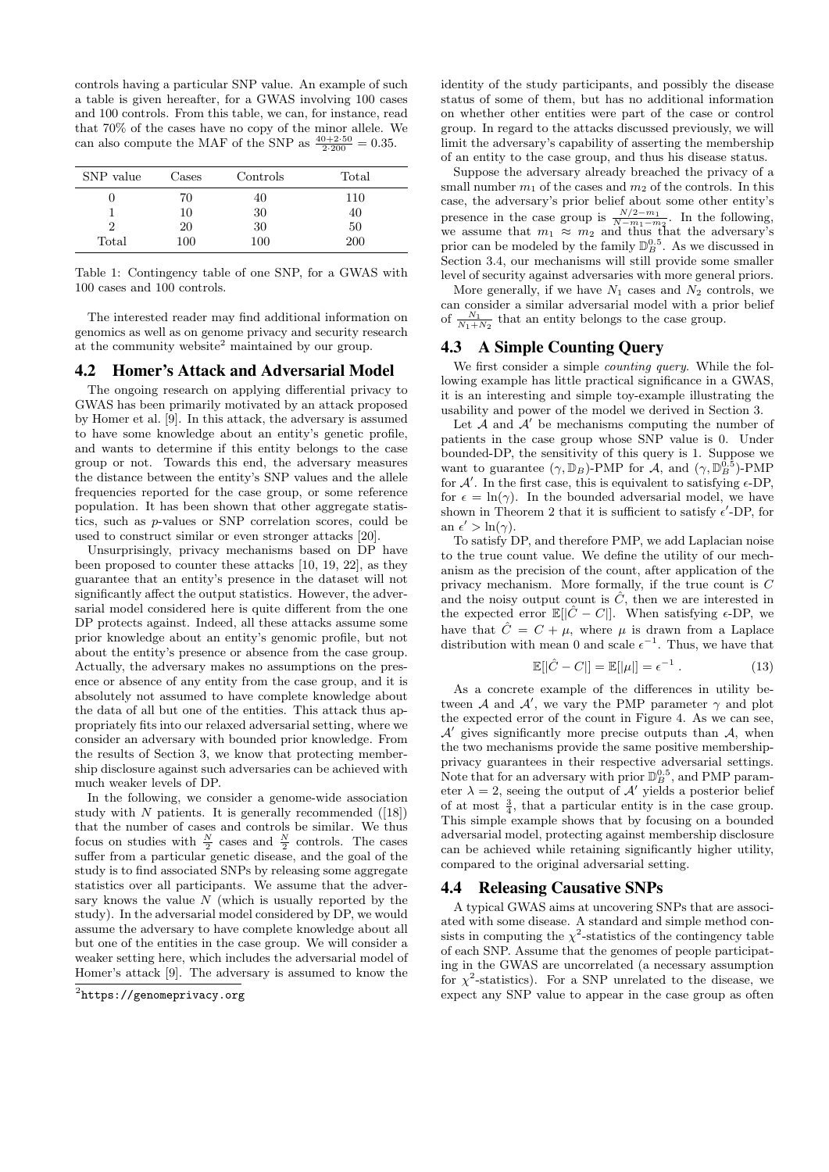controls having a particular SNP value. An example of such a table is given hereafter, for a GWAS involving 100 cases and 100 controls. From this table, we can, for instance, read that 70% of the cases have no copy of the minor allele. We can also compute the MAF of the SNP as  $\frac{40+2.50}{2.200} = 0.35$ .

| SNP value | Cases | Controls | Total      |
|-----------|-------|----------|------------|
|           | 70    | 40       | 110        |
|           | 10    | 30       | 40         |
| 2         | 20    | 30       | 50         |
| Total     | 100   | 100      | <b>200</b> |

Table 1: Contingency table of one SNP, for a GWAS with 100 cases and 100 controls.

The interested reader may find additional information on genomics as well as on genome privacy and security research at the community website<sup>2</sup> maintained by our group.

## 4.2 Homer's Attack and Adversarial Model

The ongoing research on applying differential privacy to GWAS has been primarily motivated by an attack proposed by Homer et al. [9]. In this attack, the adversary is assumed to have some knowledge about an entity's genetic profile, and wants to determine if this entity belongs to the case group or not. Towards this end, the adversary measures the distance between the entity's SNP values and the allele frequencies reported for the case group, or some reference population. It has been shown that other aggregate statistics, such as p-values or SNP correlation scores, could be used to construct similar or even stronger attacks [20].

Unsurprisingly, privacy mechanisms based on DP have been proposed to counter these attacks [10, 19, 22], as they guarantee that an entity's presence in the dataset will not significantly affect the output statistics. However, the adversarial model considered here is quite different from the one DP protects against. Indeed, all these attacks assume some prior knowledge about an entity's genomic profile, but not about the entity's presence or absence from the case group. Actually, the adversary makes no assumptions on the presence or absence of any entity from the case group, and it is absolutely not assumed to have complete knowledge about the data of all but one of the entities. This attack thus appropriately fits into our relaxed adversarial setting, where we consider an adversary with bounded prior knowledge. From the results of Section 3, we know that protecting membership disclosure against such adversaries can be achieved with much weaker levels of DP.

In the following, we consider a genome-wide association study with  $N$  patients. It is generally recommended ([18]) that the number of cases and controls be similar. We thus focus on studies with  $\frac{N}{2}$  cases and  $\frac{N}{2}$  controls. The cases suffer from a particular genetic disease, and the goal of the study is to find associated SNPs by releasing some aggregate statistics over all participants. We assume that the adversary knows the value  $N$  (which is usually reported by the study). In the adversarial model considered by DP, we would assume the adversary to have complete knowledge about all but one of the entities in the case group. We will consider a weaker setting here, which includes the adversarial model of Homer's attack [9]. The adversary is assumed to know the

identity of the study participants, and possibly the disease status of some of them, but has no additional information on whether other entities were part of the case or control group. In regard to the attacks discussed previously, we will limit the adversary's capability of asserting the membership of an entity to the case group, and thus his disease status.

Suppose the adversary already breached the privacy of a small number  $m_1$  of the cases and  $m_2$  of the controls. In this case, the adversary's prior belief about some other entity's presence in the case group is  $\frac{N/2-m_1}{N-m_1-m_2}$ . In the following, we assume that  $m_1 \approx m_2$  and thus that the adversary's prior can be modeled by the family  $\mathbb{D}_{B}^{0.5}$ . As we discussed in Section 3.4, our mechanisms will still provide some smaller level of security against adversaries with more general priors.

More generally, if we have  $N_1$  cases and  $N_2$  controls, we can consider a similar adversarial model with a prior belief of  $\frac{N_1}{N_1+N_2}$  that an entity belongs to the case group.

# 4.3 A Simple Counting Query

We first consider a simple *counting query*. While the following example has little practical significance in a GWAS, it is an interesting and simple toy-example illustrating the usability and power of the model we derived in Section 3.

Let  $\mathcal A$  and  $\mathcal A'$  be mechanisms computing the number of patients in the case group whose SNP value is 0. Under bounded-DP, the sensitivity of this query is 1. Suppose we want to guarantee  $(\gamma, \mathbb{D}_B)$ -PMP for  $\mathcal{A}$ , and  $(\gamma, \mathbb{D}_B^{\tilde{0}, \tilde{5}})$ -PMP for  $A'$ . In the first case, this is equivalent to satisfying  $\epsilon$ -DP, for  $\epsilon = \ln(\gamma)$ . In the bounded adversarial model, we have shown in Theorem 2 that it is sufficient to satisfy  $\epsilon'$ -DP, for an  $\epsilon' > \ln(\gamma)$ .

To satisfy DP, and therefore PMP, we add Laplacian noise to the true count value. We define the utility of our mechanism as the precision of the count, after application of the privacy mechanism. More formally, if the true count is C and the noisy output count is  $\hat{C}$ , then we are interested in the expected error  $\mathbb{E}[|\hat{C} - C|]$ . When satisfying  $\epsilon$ -DP, we have that  $\hat{C} = C + \mu$ , where  $\mu$  is drawn from a Laplace distribution with mean 0 and scale  $\epsilon^{-1}$ . Thus, we have that

$$
\mathbb{E}[|\hat{C} - C|] = \mathbb{E}[|\mu|] = \epsilon^{-1}.
$$
\n(13)

As a concrete example of the differences in utility between A and  $A'$ , we vary the PMP parameter  $\gamma$  and plot the expected error of the count in Figure 4. As we can see,  $\mathcal{A}'$  gives significantly more precise outputs than  $\mathcal{A}$ , when the two mechanisms provide the same positive membershipprivacy guarantees in their respective adversarial settings. Note that for an adversary with prior  $\mathbb{D}_{B}^{0.5}$ , and PMP parameter  $\lambda = 2$ , seeing the output of  $\mathcal{A}'$  yields a posterior belief of at most  $\frac{3}{4}$ , that a particular entity is in the case group. This simple example shows that by focusing on a bounded adversarial model, protecting against membership disclosure can be achieved while retaining significantly higher utility, compared to the original adversarial setting.

# 4.4 Releasing Causative SNPs

A typical GWAS aims at uncovering SNPs that are associated with some disease. A standard and simple method consists in computing the  $\chi^2$ -statistics of the contingency table of each SNP. Assume that the genomes of people participating in the GWAS are uncorrelated (a necessary assumption for  $\chi^2$ -statistics). For a SNP unrelated to the disease, we expect any SNP value to appear in the case group as often

 $^{2}$ https://genomeprivacy.org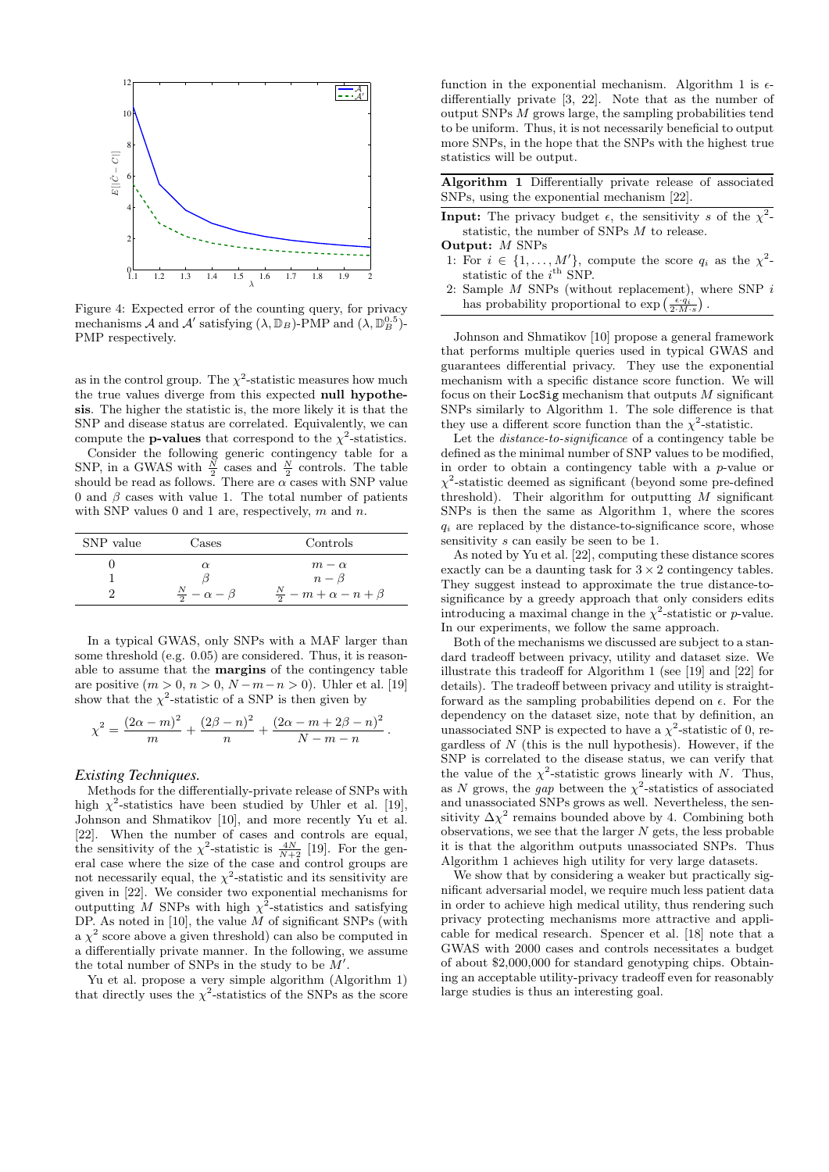

Figure 4: Expected error of the counting query, for privacy mechanisms  $\mathcal A$  and  $\mathcal A'$  satisfying  $(\lambda, \mathbb D_B)$ -PMP and  $(\lambda, \mathbb D_B^{0.5})$ -PMP respectively.

as in the control group. The  $\chi^2$ -statistic measures how much the true values diverge from this expected null hypothesis. The higher the statistic is, the more likely it is that the SNP and disease status are correlated. Equivalently, we can compute the **p-values** that correspond to the  $\chi^2$ -statistics.

Consider the following generic contingency table for a SNP, in a GWAS with  $\frac{N}{2}$  cases and  $\frac{N}{2}$  controls. The table should be read as follows. There are  $\alpha$  cases with SNP value 0 and  $\beta$  cases with value 1. The total number of patients with SNP values 0 and 1 are, respectively,  $m$  and  $n$ .

| SNP value | Cases                          | Controls                               |
|-----------|--------------------------------|----------------------------------------|
|           |                                | $m - \alpha$                           |
|           |                                | $n - \beta$                            |
|           | $\frac{N}{2} - \alpha - \beta$ | $\frac{N}{2} - m + \alpha - n + \beta$ |

In a typical GWAS, only SNPs with a MAF larger than some threshold (e.g. 0.05) are considered. Thus, it is reasonable to assume that the margins of the contingency table are positive  $(m > 0, n > 0, N - m - n > 0)$ . Uhler et al. [19] show that the  $\chi^2$ -statistic of a SNP is then given by

$$
\chi^{2} = \frac{(2\alpha - m)^{2}}{m} + \frac{(2\beta - n)^{2}}{n} + \frac{(2\alpha - m + 2\beta - n)^{2}}{N - m - n}.
$$

#### *Existing Techniques.*

Methods for the differentially-private release of SNPs with high  $\chi^2$ -statistics have been studied by Uhler et al. [19], Johnson and Shmatikov [10], and more recently Yu et al. [22]. When the number of cases and controls are equal, the sensitivity of the  $\chi^2$ -statistic is  $\frac{4N}{N+2}$  [19]. For the general case where the size of the case and control groups are not necessarily equal, the  $\chi^2$ -statistic and its sensitivity are given in [22]. We consider two exponential mechanisms for outputting M SNPs with high  $\chi^2$ -statistics and satisfying DP. As noted in  $[10]$ , the value M of significant SNPs (with a  $\chi^2$  score above a given threshold) can also be computed in a differentially private manner. In the following, we assume the total number of SNPs in the study to be  $M'$ .

Yu et al. propose a very simple algorithm (Algorithm 1) that directly uses the  $\chi^2$ -statistics of the SNPs as the score

function in the exponential mechanism. Algorithm 1 is  $\epsilon$ differentially private [3, 22]. Note that as the number of output SNPs M grows large, the sampling probabilities tend to be uniform. Thus, it is not necessarily beneficial to output more SNPs, in the hope that the SNPs with the highest true statistics will be output.

Algorithm 1 Differentially private release of associated SNPs, using the exponential mechanism [22].

- **Input:** The privacy budget  $\epsilon$ , the sensitivity s of the  $\chi^2$ statistic, the number of SNPs M to release. Output: M SNPs
- 1: For  $i \in \{1, ..., M'\}$ , compute the score  $q_i$  as the  $\chi^2$ statistic of the  $i^{\text{th}}$  SNP.
- Sample  $M$  SNPs (without replacement), where SNP  $i$ has probability proportional to  $\exp\left(\frac{\epsilon \cdot q_i}{2 \cdot M \cdot s}\right)$ .

Johnson and Shmatikov [10] propose a general framework that performs multiple queries used in typical GWAS and guarantees differential privacy. They use the exponential mechanism with a specific distance score function. We will focus on their LocSig mechanism that outputs  $M$  significant SNPs similarly to Algorithm 1. The sole difference is that they use a different score function than the  $\chi^2$ -statistic.

Let the *distance-to-significance* of a contingency table be defined as the minimal number of SNP values to be modified, in order to obtain a contingency table with a p-value or  $\chi^2$ -statistic deemed as significant (beyond some pre-defined threshold). Their algorithm for outputting  $M$  significant SNPs is then the same as Algorithm 1, where the scores  $q_i$  are replaced by the distance-to-significance score, whose sensitivity s can easily be seen to be 1.

As noted by Yu et al. [22], computing these distance scores exactly can be a daunting task for  $3 \times 2$  contingency tables. They suggest instead to approximate the true distance-tosignificance by a greedy approach that only considers edits introducing a maximal change in the  $\chi^2$ -statistic or p-value. In our experiments, we follow the same approach.

Both of the mechanisms we discussed are subject to a standard tradeoff between privacy, utility and dataset size. We illustrate this tradeoff for Algorithm 1 (see [19] and [22] for details). The tradeoff between privacy and utility is straightforward as the sampling probabilities depend on  $\epsilon$ . For the dependency on the dataset size, note that by definition, an unassociated SNP is expected to have a  $\chi^2$ -statistic of 0, regardless of  $N$  (this is the null hypothesis). However, if the SNP is correlated to the disease status, we can verify that the value of the  $\chi^2$ -statistic grows linearly with N. Thus, as N grows, the gap between the  $\chi^2$ -statistics of associated and unassociated SNPs grows as well. Nevertheless, the sensitivity  $\Delta \chi^2$  remains bounded above by 4. Combining both observations, we see that the larger  $N$  gets, the less probable it is that the algorithm outputs unassociated SNPs. Thus Algorithm 1 achieves high utility for very large datasets.

We show that by considering a weaker but practically significant adversarial model, we require much less patient data in order to achieve high medical utility, thus rendering such privacy protecting mechanisms more attractive and applicable for medical research. Spencer et al. [18] note that a GWAS with 2000 cases and controls necessitates a budget of about \$2,000,000 for standard genotyping chips. Obtaining an acceptable utility-privacy tradeoff even for reasonably large studies is thus an interesting goal.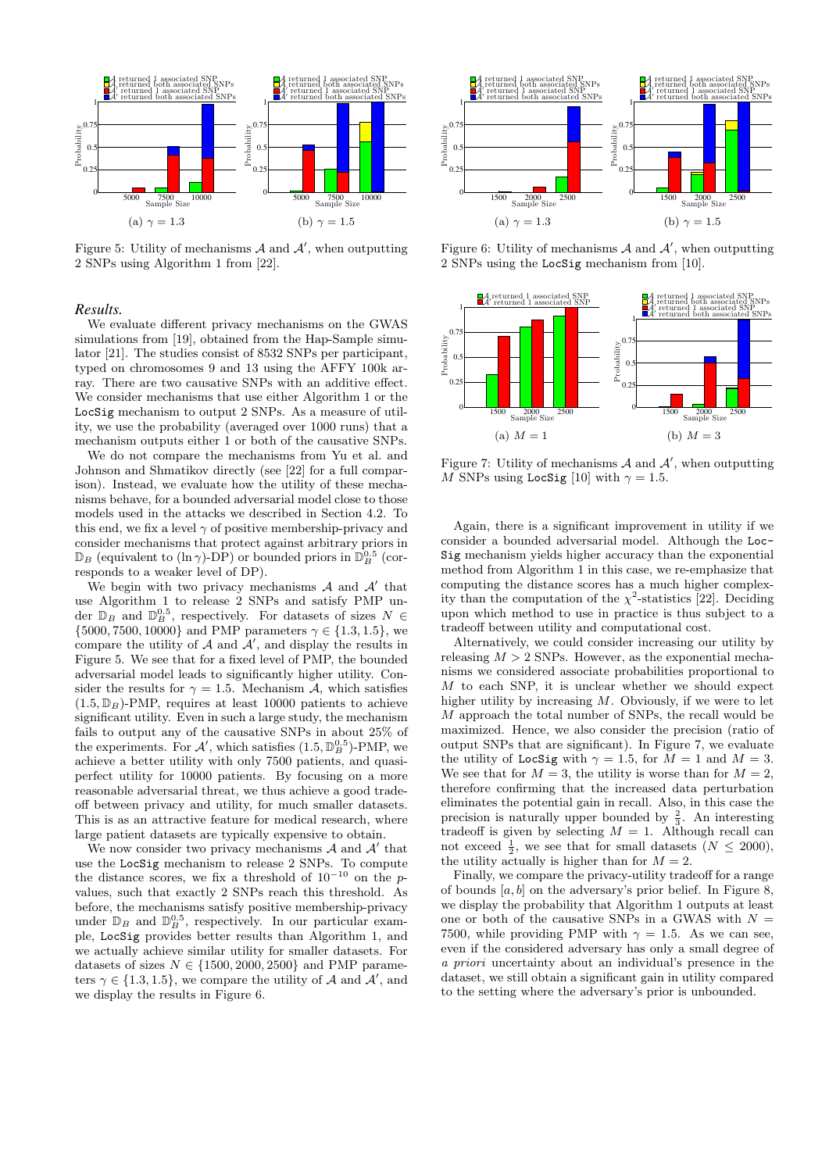

Figure 5: Utility of mechanisms  $A$  and  $A'$ , when outputting 2 SNPs using Algorithm 1 from [22].

#### *Results.*

We evaluate different privacy mechanisms on the GWAS simulations from [19], obtained from the Hap-Sample simulator [21]. The studies consist of 8532 SNPs per participant, typed on chromosomes 9 and 13 using the AFFY 100k array. There are two causative SNPs with an additive effect. We consider mechanisms that use either Algorithm 1 or the LocSig mechanism to output 2 SNPs. As a measure of utility, we use the probability (averaged over 1000 runs) that a mechanism outputs either 1 or both of the causative SNPs.

We do not compare the mechanisms from Yu et al. and Johnson and Shmatikov directly (see [22] for a full comparison). Instead, we evaluate how the utility of these mechanisms behave, for a bounded adversarial model close to those models used in the attacks we described in Section 4.2. To this end, we fix a level  $\gamma$  of positive membership-privacy and consider mechanisms that protect against arbitrary priors in  $\mathbb{D}_B$  (equivalent to  $(\ln \gamma)$ -DP) or bounded priors in  $\mathbb{D}_B^{0.5}$  (corresponds to a weaker level of DP).

We begin with two privacy mechanisms  $A$  and  $A'$  that use Algorithm 1 to release 2 SNPs and satisfy PMP under  $\mathbb{D}_B$  and  $\mathbb{D}_B^{0.5}$ , respectively. For datasets of sizes  $N \in$  $\{5000, 7500, 10000\}$  and PMP parameters  $\gamma \in \{1.3, 1.5\}$ , we compare the utility of  $A$  and  $A'$ , and display the results in Figure 5. We see that for a fixed level of PMP, the bounded adversarial model leads to significantly higher utility. Consider the results for  $\gamma = 1.5$ . Mechanism A, which satisfies  $(1.5, \mathbb{D}_B)$ -PMP, requires at least 10000 patients to achieve significant utility. Even in such a large study, the mechanism fails to output any of the causative SNPs in about 25% of the experiments. For  $\mathcal{A}'$ , which satisfies  $(1.5, \mathbb{D}_{B}^{0.5})$ -PMP, we achieve a better utility with only 7500 patients, and quasiperfect utility for 10000 patients. By focusing on a more reasonable adversarial threat, we thus achieve a good tradeoff between privacy and utility, for much smaller datasets. This is as an attractive feature for medical research, where large patient datasets are typically expensive to obtain.

We now consider two privacy mechanisms  $A$  and  $A'$  that use the LocSig mechanism to release 2 SNPs. To compute the distance scores, we fix a threshold of  $10^{-10}$  on the pvalues, such that exactly 2 SNPs reach this threshold. As before, the mechanisms satisfy positive membership-privacy under  $\mathbb{D}_B$  and  $\mathbb{D}_B^{0.5}$ , respectively. In our particular example, LocSig provides better results than Algorithm 1, and we actually achieve similar utility for smaller datasets. For datasets of sizes  $N \in \{1500, 2000, 2500\}$  and PMP parameters  $\gamma \in \{1.3, 1.5\}$ , we compare the utility of A and  $\mathcal{A}'$ , and we display the results in Figure 6.



Figure 6: Utility of mechanisms  $A$  and  $A'$ , when outputting 2 SNPs using the LocSig mechanism from [10].



Figure 7: Utility of mechanisms  $A$  and  $A'$ , when outputting M SNPs using LocSig [10] with  $\gamma = 1.5$ .

Again, there is a significant improvement in utility if we consider a bounded adversarial model. Although the Loc-Sig mechanism yields higher accuracy than the exponential method from Algorithm 1 in this case, we re-emphasize that computing the distance scores has a much higher complexity than the computation of the  $\chi^2$ -statistics [22]. Deciding upon which method to use in practice is thus subject to a tradeoff between utility and computational cost.

Alternatively, we could consider increasing our utility by releasing  $M > 2$  SNPs. However, as the exponential mechanisms we considered associate probabilities proportional to M to each SNP, it is unclear whether we should expect higher utility by increasing  $M$ . Obviously, if we were to let M approach the total number of SNPs, the recall would be maximized. Hence, we also consider the precision (ratio of output SNPs that are significant). In Figure 7, we evaluate the utility of LocSig with  $\gamma = 1.5$ , for  $M = 1$  and  $M = 3$ . We see that for  $M = 3$ , the utility is worse than for  $M = 2$ , therefore confirming that the increased data perturbation eliminates the potential gain in recall. Also, in this case the precision is naturally upper bounded by  $\frac{2}{3}$ . An interesting tradeoff is given by selecting  $M = 1$ . Although recall can not exceed  $\frac{1}{2}$ , we see that for small datasets  $(N \leq 2000)$ , the utility actually is higher than for  $M = 2$ .

Finally, we compare the privacy-utility tradeoff for a range of bounds  $[a, b]$  on the adversary's prior belief. In Figure 8, we display the probability that Algorithm 1 outputs at least one or both of the causative SNPs in a GWAS with  $N =$ 7500, while providing PMP with  $\gamma = 1.5$ . As we can see, even if the considered adversary has only a small degree of a priori uncertainty about an individual's presence in the dataset, we still obtain a significant gain in utility compared to the setting where the adversary's prior is unbounded.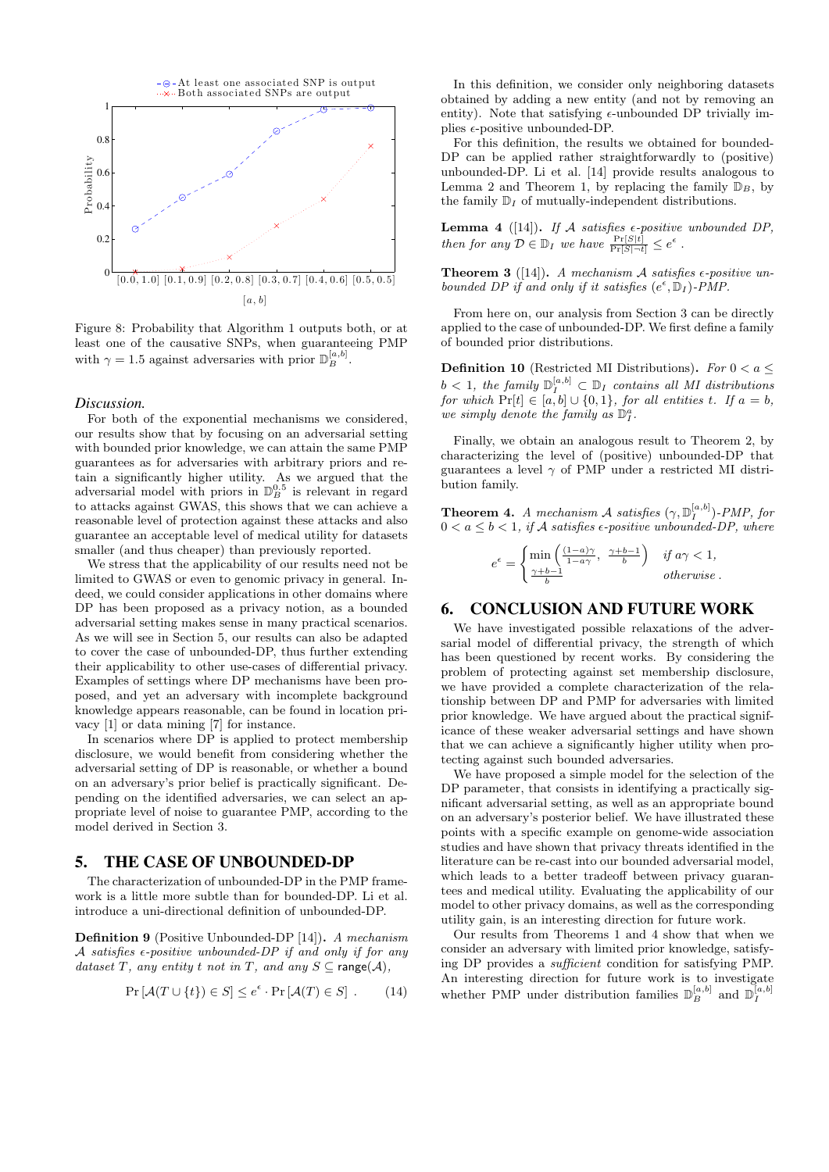

Figure 8: Probability that Algorithm 1 outputs both, or at least one of the causative SNPs, when guaranteeing PMP with  $\gamma = 1.5$  against adversaries with prior  $\mathbb{D}_{B}^{[a,b]}$ .

#### *Discussion.*

For both of the exponential mechanisms we considered, our results show that by focusing on an adversarial setting with bounded prior knowledge, we can attain the same PMP guarantees as for adversaries with arbitrary priors and retain a significantly higher utility. As we argued that the adversarial model with priors in  $\mathbb{D}_{B}^{0.5}$  is relevant in regard to attacks against GWAS, this shows that we can achieve a reasonable level of protection against these attacks and also guarantee an acceptable level of medical utility for datasets smaller (and thus cheaper) than previously reported.

We stress that the applicability of our results need not be limited to GWAS or even to genomic privacy in general. Indeed, we could consider applications in other domains where DP has been proposed as a privacy notion, as a bounded adversarial setting makes sense in many practical scenarios. As we will see in Section 5, our results can also be adapted to cover the case of unbounded-DP, thus further extending their applicability to other use-cases of differential privacy. Examples of settings where DP mechanisms have been proposed, and yet an adversary with incomplete background knowledge appears reasonable, can be found in location privacy [1] or data mining [7] for instance.

In scenarios where DP is applied to protect membership disclosure, we would benefit from considering whether the adversarial setting of DP is reasonable, or whether a bound on an adversary's prior belief is practically significant. Depending on the identified adversaries, we can select an appropriate level of noise to guarantee PMP, according to the model derived in Section 3.

# 5. THE CASE OF UNBOUNDED-DP

The characterization of unbounded-DP in the PMP framework is a little more subtle than for bounded-DP. Li et al. introduce a uni-directional definition of unbounded-DP.

Definition 9 (Positive Unbounded-DP [14]). A mechanism A satisfies  $\epsilon$ -positive unbounded-DP if and only if for any dataset T, any entity t not in T, and any  $S \subseteq \text{range}(\mathcal{A}),$ 

$$
\Pr\left[\mathcal{A}(T\cup\{t\})\in S\right]\leq e^{\epsilon}\cdot\Pr\left[\mathcal{A}(T)\in S\right].\tag{14}
$$

In this definition, we consider only neighboring datasets obtained by adding a new entity (and not by removing an entity). Note that satisfying  $\epsilon$ -unbounded DP trivially implies  $\epsilon$ -positive unbounded-DP.

For this definition, the results we obtained for bounded-DP can be applied rather straightforwardly to (positive) unbounded-DP. Li et al. [14] provide results analogous to Lemma 2 and Theorem 1, by replacing the family  $\mathbb{D}_B$ , by the family  $\mathbb{D}_I$  of mutually-independent distributions.

**Lemma 4** ([14]). If A satisfies  $\epsilon$ -positive unbounded DP, then for any  $\mathcal{D} \in \mathbb{D}_I$  we have  $\frac{\Pr[S|t]}{\Pr[S|\neg t]} \leq e^{\epsilon}$ .

**Theorem 3** ([14]). A mechanism A satisfies  $\epsilon$ -positive unbounded DP if and only if it satisfies  $(e^{\epsilon}, \mathbb{D}_I)$ -PMP.

From here on, our analysis from Section 3 can be directly applied to the case of unbounded-DP. We first define a family of bounded prior distributions.

**Definition 10** (Restricted MI Distributions). For  $0 < a \leq$  $b < 1$ , the family  $\mathbb{D}_I^{[a,b]} \subset \mathbb{D}_I$  contains all MI distributions for which  $Pr[t] \in [a, b] \cup \{0, 1\}$ , for all entities t. If  $a = b$ , we simply denote the family as  $\mathbb{D}_{I}^{a}$ .

Finally, we obtain an analogous result to Theorem 2, by characterizing the level of (positive) unbounded-DP that guarantees a level  $\gamma$  of PMP under a restricted MI distribution family.

**Theorem 4.** A mechanism A satisfies  $(\gamma, \mathbb{D}_{I}^{[a,b]})$ -PMP, for  $0 < a \leq b < 1$ , if A satisfies  $\epsilon$ -positive unbounded-DP, where

$$
e^{\epsilon} = \begin{cases} \min\left(\frac{(1-a)\gamma}{1-a\gamma}, \ \frac{\gamma+b-1}{b}\right) & \text{if } a\gamma < 1, \\ \frac{\gamma+b-1}{b} & \text{otherwise.} \end{cases}
$$

## 6. CONCLUSION AND FUTURE WORK

We have investigated possible relaxations of the adversarial model of differential privacy, the strength of which has been questioned by recent works. By considering the problem of protecting against set membership disclosure, we have provided a complete characterization of the relationship between DP and PMP for adversaries with limited prior knowledge. We have argued about the practical significance of these weaker adversarial settings and have shown that we can achieve a significantly higher utility when protecting against such bounded adversaries.

We have proposed a simple model for the selection of the DP parameter, that consists in identifying a practically significant adversarial setting, as well as an appropriate bound on an adversary's posterior belief. We have illustrated these points with a specific example on genome-wide association studies and have shown that privacy threats identified in the literature can be re-cast into our bounded adversarial model, which leads to a better tradeoff between privacy guarantees and medical utility. Evaluating the applicability of our model to other privacy domains, as well as the corresponding utility gain, is an interesting direction for future work.

Our results from Theorems 1 and 4 show that when we consider an adversary with limited prior knowledge, satisfying DP provides a sufficient condition for satisfying PMP. An interesting direction for future work is to investigate whether PMP under distribution families  $\mathbb{D}_{B}^{[a,b]}$  and  $\mathbb{D}_{I}^{[a,b]}$